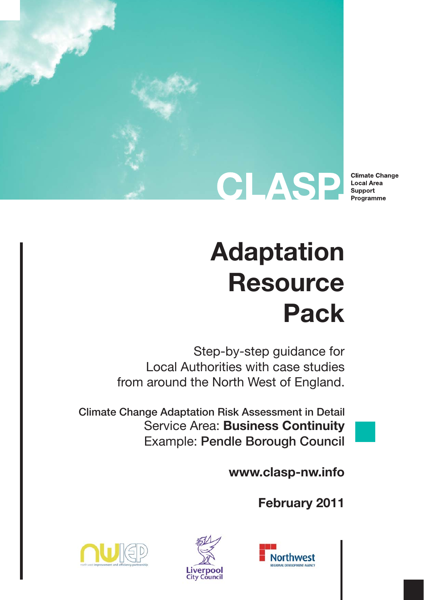

**Climate Change Local Area** Support Programme

# **Adaptation Resource Pack**

Step-by-step guidance for Local Authorities with case studies from around the North West of England.

Climate Change Adaptation Risk Assessment in Detail Service Area: **Business Continuity** Example: Pendle Borough Council

**www.clasp-nw.info**

**February 2011**





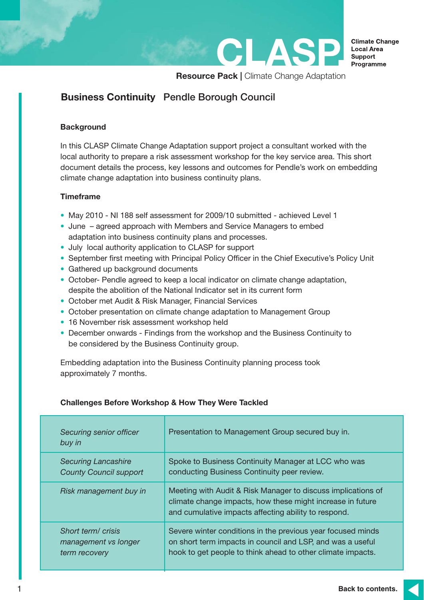

**Resource Pack | Climate Change Adaptation** 

CLAS

## **Business Continuity** Pendle Borough Council

#### **Background**

In this CLASP Climate Change Adaptation support project a consultant worked with the local authority to prepare a risk assessment workshop for the key service area. This short document details the process, key lessons and outcomes for Pendle's work on embedding climate change adaptation into business continuity plans.

#### **Timeframe**

- May 2010 NI 188 self assessment for 2009/10 submitted achieved Level 1
- June agreed approach with Members and Service Managers to embed adaptation into business continuity plans and processes.
- July local authority application to CLASP for support
- September first meeting with Principal Policy Officer in the Chief Executive's Policy Unit
- Gathered up background documents
- October- Pendle agreed to keep a local indicator on climate change adaptation, despite the abolition of the National Indicator set in its current form
- October met Audit & Risk Manager, Financial Services
- October presentation on climate change adaptation to Management Group
- 16 November risk assessment workshop held
- December onwards Findings from the workshop and the Business Continuity to be considered by the Business Continuity group.

Embedding adaptation into the Business Continuity planning process took approximately 7 months.

| Securing senior officer<br>buy in | Presentation to Management Group secured buy in.                                                                                                                                   |
|-----------------------------------|------------------------------------------------------------------------------------------------------------------------------------------------------------------------------------|
| <b>Securing Lancashire</b>        | Spoke to Business Continuity Manager at LCC who was                                                                                                                                |
| <b>County Council support</b>     | conducting Business Continuity peer review.                                                                                                                                        |
| Risk management buy in            | Meeting with Audit & Risk Manager to discuss implications of<br>climate change impacts, how these might increase in future<br>and cumulative impacts affecting ability to respond. |
| Short term/crisis                 | Severe winter conditions in the previous year focused minds                                                                                                                        |
| management vs longer              | on short term impacts in council and LSP, and was a useful                                                                                                                         |
| term recovery                     | hook to get people to think ahead to other climate impacts.                                                                                                                        |

### **Challenges Before Workshop & How They Were Tackled**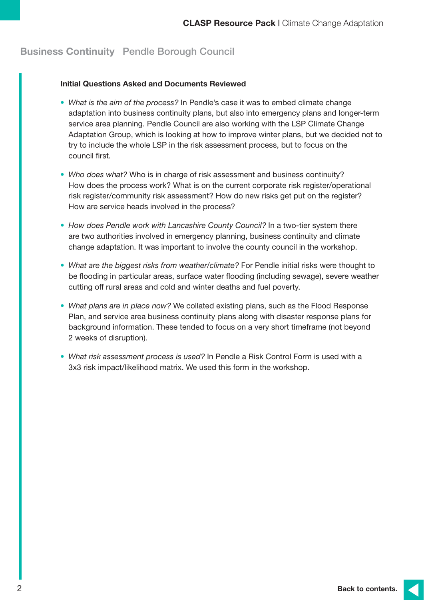#### **Initial Questions Asked and Documents Reviewed**

- *What is the aim of the process?* In Pendle's case it was to embed climate change adaptation into business continuity plans, but also into emergency plans and longer-term service area planning. Pendle Council are also working with the LSP Climate Change Adaptation Group, which is looking at how to improve winter plans, but we decided not to try to include the whole LSP in the risk assessment process, but to focus on the council first*.*
- *Who does what?* Who is in charge of risk assessment and business continuity? How does the process work? What is on the current corporate risk register/operational risk register/community risk assessment? How do new risks get put on the register? How are service heads involved in the process?
- How does Pendle work with Lancashire County Council? In a two-tier system there are two authorities involved in emergency planning, business continuity and climate change adaptation. It was important to involve the county council in the workshop.
- *What are the biggest risks from weather/climate?* For Pendle initial risks were thought to be flooding in particular areas, surface water flooding (including sewage), severe weather cutting off rural areas and cold and winter deaths and fuel poverty.
- *What plans are in place now?* We collated existing plans, such as the Flood Response Plan, and service area business continuity plans along with disaster response plans for background information. These tended to focus on a very short timeframe (not beyond 2 weeks of disruption).
- *What risk assessment process is used?* In Pendle a Risk Control Form is used with a 3x3 risk impact/likelihood matrix. We used this form in the workshop.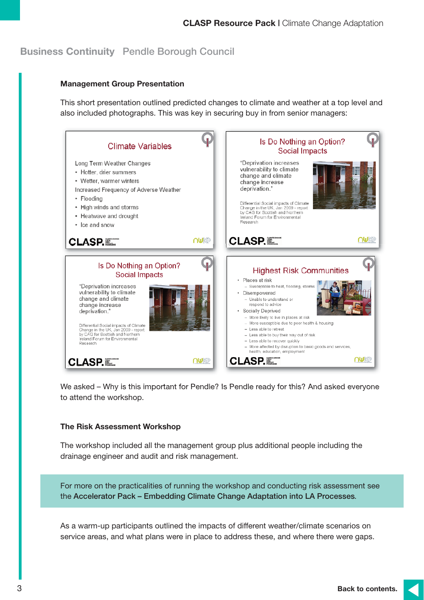#### **Management Group Presentation**

This short presentation outlined predicted changes to climate and weather at a top level and also included photographs. This was key in securing buy in from senior managers:



We asked – Why is this important for Pendle? Is Pendle ready for this? And asked everyone to attend the workshop.

#### **The Risk Assessment Workshop**

The workshop included all the management group plus additional people including the drainage engineer and audit and risk management.

For more on the practicalities of running the workshop and conducting risk assessment see the Accelerator Pack – Embedding Climate Change Adaptation into LA Processes.

As a warm-up participants outlined the impacts of different weather/climate scenarios on service areas, and what plans were in place to address these, and where there were gaps.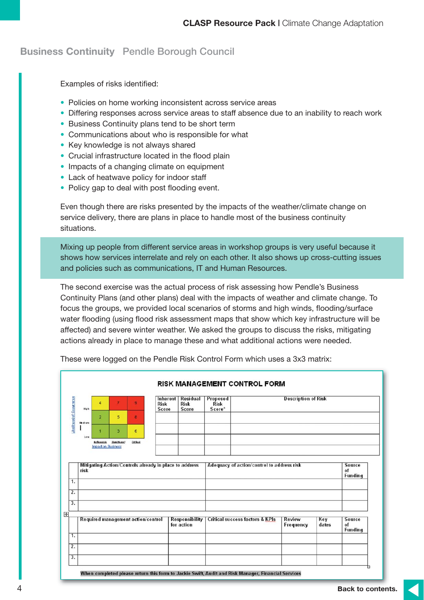Examples of risks identified:

- Policies on home working inconsistent across service areas
- Differing responses across service areas to staff absence due to an inability to reach work
- Business Continuity plans tend to be short term
- Communications about who is responsible for what
- Key knowledge is not always shared
- Crucial infrastructure located in the flood plain
- Impacts of a changing climate on equipment
- Lack of heatwave policy for indoor staff
- Policy gap to deal with post flooding event.

Even though there are risks presented by the impacts of the weather/climate change on service delivery, there are plans in place to handle most of the business continuity situations.

Mixing up people from different service areas in workshop groups is very useful because it shows how services interrelate and rely on each other. It also shows up cross-cutting issues and policies such as communications, IT and Human Resources.

The second exercise was the actual process of risk assessing how Pendle's Business Continuity Plans (and other plans) deal with the impacts of weather and climate change. To focus the groups, we provided local scenarios of storms and high winds, flooding/surface water flooding (using flood risk assessment maps that show which key infrastructure will be affected) and severe winter weather. We asked the groups to discuss the risks, mitigating actions already in place to manage these and what additional actions were needed.

| Likelihood of Occurrence | High                                                           | 4                                       |                    | 9                                  | <b>Risk</b><br>Score | <b>Inherent   Residual</b><br><b>Risk</b><br>Score | Proposed<br><b>Risk</b><br>Score*          |  | <b>Description of Risk</b> |              |                                |
|--------------------------|----------------------------------------------------------------|-----------------------------------------|--------------------|------------------------------------|----------------------|----------------------------------------------------|--------------------------------------------|--|----------------------------|--------------|--------------------------------|
|                          | Me di urn                                                      | $\overline{2}$                          | 5                  | 8                                  |                      |                                                    |                                            |  |                            |              |                                |
|                          | Le w                                                           |                                         | 3                  | 6                                  |                      |                                                    |                                            |  |                            |              |                                |
|                          |                                                                | Noticeable<br><b>Impaction Business</b> | <b>Blani feant</b> | Cri1oal                            |                      |                                                    |                                            |  |                            |              |                                |
|                          | Mitigating Action/Controls already in place to address<br>risk |                                         |                    |                                    |                      |                                                    | Adequacy of action/control to address risk |  |                            |              | Source<br>of<br><b>Funding</b> |
| 1.                       |                                                                |                                         |                    |                                    |                      |                                                    |                                            |  |                            |              |                                |
| $\overline{2}$ .         |                                                                |                                         |                    |                                    |                      |                                                    |                                            |  |                            |              |                                |
| 3.                       |                                                                |                                         |                    |                                    |                      |                                                    |                                            |  |                            |              |                                |
|                          |                                                                |                                         |                    |                                    |                      |                                                    |                                            |  | Review                     |              |                                |
|                          |                                                                |                                         |                    | Required management action/control |                      | <b>Responsibility</b><br>for action                | <b>Critical success factors &amp; KPIs</b> |  | Frequency                  | Key<br>dates | Source<br>of<br><b>Funding</b> |
|                          |                                                                |                                         |                    |                                    |                      |                                                    |                                            |  |                            |              |                                |
|                          |                                                                |                                         |                    |                                    |                      |                                                    |                                            |  |                            |              |                                |
| 1.<br>$\overline{2}$ .   |                                                                |                                         |                    |                                    |                      |                                                    |                                            |  |                            |              |                                |

These were logged on the Pendle Risk Control Form which uses a 3x3 matrix: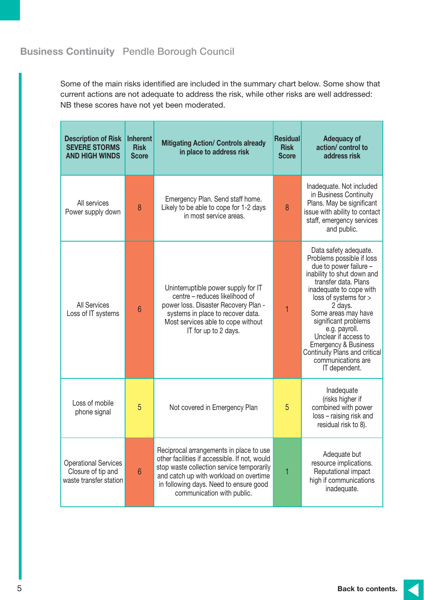Some of the main risks identified are included in the summary chart below. Some show that current actions are not adequate to address the risk, while other risks are well addressed: NB these scores have not yet been moderated.

| <b>Description of Risk</b><br><b>SEVERE STORMS</b><br><b>AND HIGH WINDS</b>      | <b>Inherent</b><br><b>Risk</b><br><b>Score</b> | <b>Mitigating Action/ Controls already</b><br>in place to address risk                                                                                                                                                                                  | <b>Residual</b><br><b>Risk</b><br><b>Score</b> | <b>Adequacy of</b><br>action/ control to<br>address risk                                                                                                                                                                                                                                                                                                                                             |
|----------------------------------------------------------------------------------|------------------------------------------------|---------------------------------------------------------------------------------------------------------------------------------------------------------------------------------------------------------------------------------------------------------|------------------------------------------------|------------------------------------------------------------------------------------------------------------------------------------------------------------------------------------------------------------------------------------------------------------------------------------------------------------------------------------------------------------------------------------------------------|
| All services<br>Power supply down                                                | 8                                              | Emergency Plan. Send staff home.<br>Likely to be able to cope for 1-2 days<br>in most service areas.                                                                                                                                                    | 8                                              | Inadequate. Not included<br>in Business Continuity<br>Plans. May be significant<br>issue with ability to contact<br>staff, emergency services<br>and public.                                                                                                                                                                                                                                         |
| <b>All Services</b><br>6<br>Loss of IT systems                                   |                                                | Uninterruptible power supply for IT<br>centre - reduces likelihood of<br>power loss. Disaster Recovery Plan -<br>systems in place to recover data.<br>Most services able to cope without<br>IT for up to 2 days.                                        | 1                                              | Data safety adequate.<br>Problems possible if loss<br>due to power failure -<br>inability to shut down and<br>transfer data, Plans<br>inadequate to cope with<br>loss of systems for ><br>2 days.<br>Some areas may have<br>significant problems<br>e.g. payroll.<br>Unclear if access to<br><b>Emergency &amp; Business</b><br>Continuity Plans and critical<br>communications are<br>IT dependent. |
| Loss of mobile<br>5<br>phone signal                                              |                                                | Not covered in Emergency Plan                                                                                                                                                                                                                           | 5                                              | Inadequate<br>(risks higher if<br>combined with power<br>loss - raising risk and<br>residual risk to 8).                                                                                                                                                                                                                                                                                             |
| <b>Operational Services</b><br>Closure of tip and<br>6<br>waste transfer station |                                                | Reciprocal arrangements in place to use<br>other facilities if accessible. If not, would<br>stop waste collection service temporarily<br>and catch up with workload on overtime<br>in following days. Need to ensure good<br>communication with public. | 1                                              | Adequate but<br>resource implications.<br>Reputational impact<br>high if communications<br>inadequate.                                                                                                                                                                                                                                                                                               |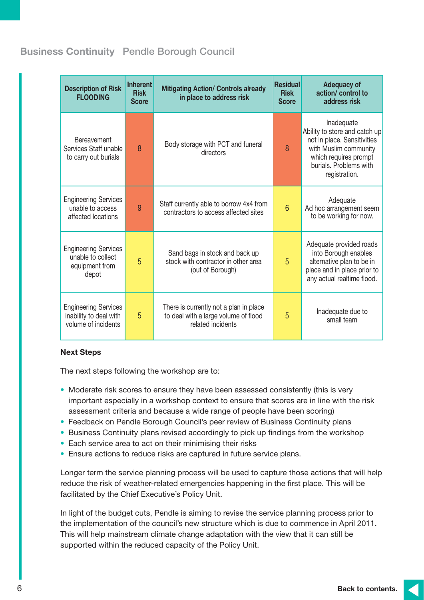| <b>Description of Risk</b><br><b>FLOODING</b>                                | <b>Inherent</b><br><b>Risk</b><br><b>Score</b> | <b>Mitigating Action/ Controls already</b><br>in place to address risk                              | <b>Residual</b><br><b>Risk</b><br><b>Score</b> | <b>Adequacy of</b><br>action/ control to<br>address risk                                                                                                                |
|------------------------------------------------------------------------------|------------------------------------------------|-----------------------------------------------------------------------------------------------------|------------------------------------------------|-------------------------------------------------------------------------------------------------------------------------------------------------------------------------|
| <b>Bereavement</b><br>Services Staff unable<br>to carry out burials          | 8                                              | Body storage with PCT and funeral<br>directors                                                      | 8                                              | Inadequate<br>Ability to store and catch up<br>not in place. Sensitivities<br>with Muslim community<br>which requires prompt<br>burials. Problems with<br>registration. |
| <b>Engineering Services</b><br>unable to access<br>affected locations        | 9                                              | Staff currently able to borrow 4x4 from<br>contractors to access affected sites                     | $6\phantom{1}6$                                | Adequate<br>Ad hoc arrangement seem<br>to be working for now.                                                                                                           |
| <b>Engineering Services</b><br>unable to collect<br>equipment from<br>depot  | 5                                              | Sand bags in stock and back up<br>stock with contractor in other area<br>(out of Borough)           | 5                                              | Adequate provided roads<br>into Borough enables<br>alternative plan to be in<br>place and in place prior to<br>any actual realtime flood.                               |
| <b>Engineering Services</b><br>inability to deal with<br>volume of incidents | 5                                              | There is currently not a plan in place<br>to deal with a large volume of flood<br>related incidents | 5                                              | Inadequate due to<br>small team                                                                                                                                         |

#### **Next Steps**

The next steps following the workshop are to:

- Moderate risk scores to ensure they have been assessed consistently (this is very important especially in a workshop context to ensure that scores are in line with the risk assessment criteria and because a wide range of people have been scoring)
- Feedback on Pendle Borough Council's peer review of Business Continuity plans
- Business Continuity plans revised accordingly to pick up findings from the workshop
- Each service area to act on their minimising their risks
- Ensure actions to reduce risks are captured in future service plans.

Longer term the service planning process will be used to capture those actions that will help reduce the risk of weather-related emergencies happening in the first place. This will be facilitated by the Chief Executive's Policy Unit.

In light of the budget cuts, Pendle is aiming to revise the service planning process prior to the implementation of the council's new structure which is due to commence in April 2011. This will help mainstream climate change adaptation with the view that it can still be supported within the reduced capacity of the Policy Unit.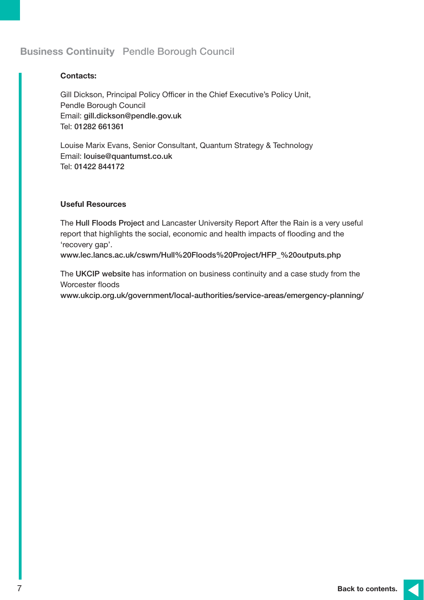#### **Contacts:**

Gill Dickson, Principal Policy Officer in the Chief Executive's Policy Unit, Pendle Borough Council Email: gill.dickson@pendle.gov.uk Tel: 01282 661361

Louise Marix Evans, Senior Consultant, Quantum Strategy & Technology Email: louise@quantumst.co.uk Tel: 01422 844172

#### **Useful Resources**

The Hull Floods Project and Lancaster University Report After the Rain is a very useful report that highlights the social, economic and health impacts of flooding and the 'recovery gap'.

www.lec.lancs.ac.uk/cswm/Hull%20Floods%20Project/HFP\_%20outputs.php

The UKCIP website has information on business continuity and a case study from the Worcester floods

www.ukcip.org.uk/government/local-authorities/service-areas/emergency-planning/